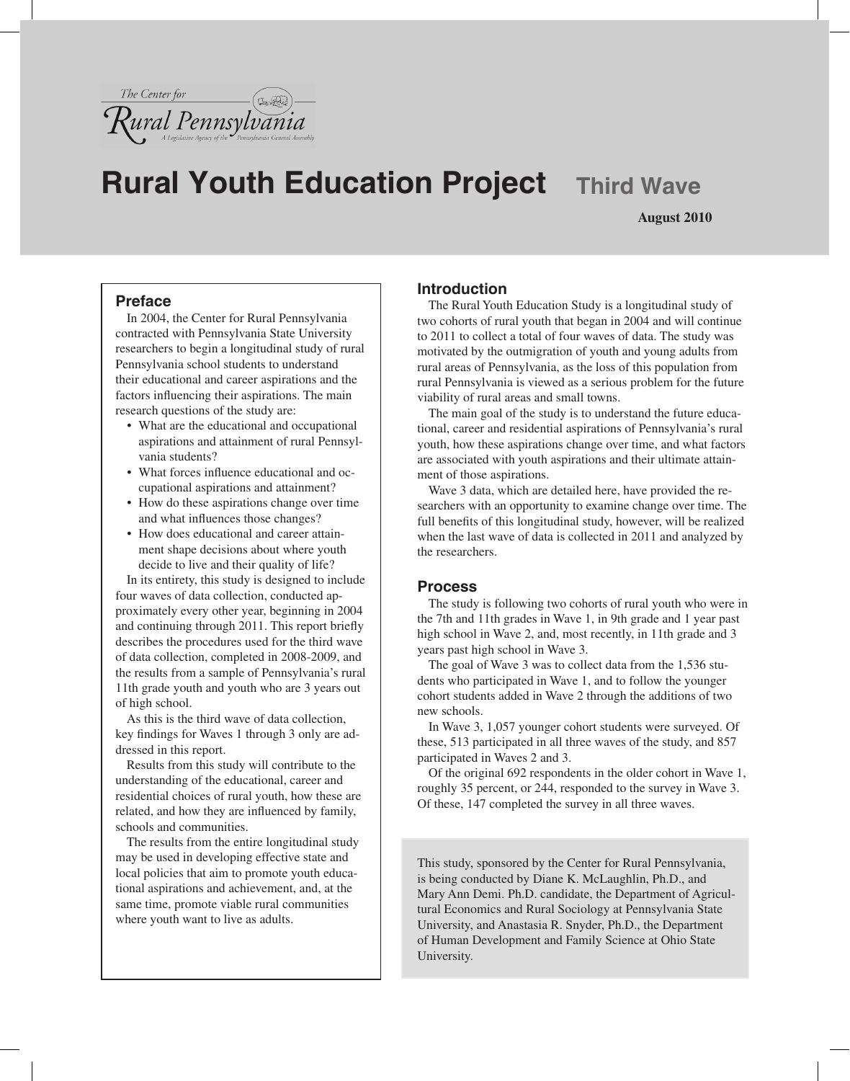

# **Rural Youth Education Project Third Wave**

**August 2010**

#### **Preface**

In 2004, the Center for Rural Pennsylvania contracted with Pennsylvania State University researchers to begin a longitudinal study of rural Pennsylvania school students to understand their educational and career aspirations and the factors influencing their aspirations. The main research questions of the study are:

- What are the educational and occupational aspirations and attainment of rural Pennsylvania students?
- What forces influence educational and occupational aspirations and attainment?
- How do these aspirations change over time and what influences those changes?
- How does educational and career attainment shape decisions about where youth decide to live and their quality of life?

In its entirety, this study is designed to include four waves of data collection, conducted approximately every other year, beginning in 2004 and continuing through 2011. This report briefly describes the procedures used for the third wave of data collection, completed in 2008-2009, and the results from a sample of Pennsylvania's rural 11th grade youth and youth who are 3 years out of high school.

As this is the third wave of data collection, key findings for Waves 1 through 3 only are addressed in this report.

Results from this study will contribute to the understanding of the educational, career and residential choices of rural youth, how these are related, and how they are influenced by family, schools and communities.

The results from the entire longitudinal study may be used in developing effective state and local policies that aim to promote youth educational aspirations and achievement, and, at the same time, promote viable rural communities where youth want to live as adults.

### **Introduction**

The Rural Youth Education Study is a longitudinal study of two cohorts of rural youth that began in 2004 and will continue to 2011 to collect a total of four waves of data. The study was motivated by the outmigration of youth and young adults from rural areas of Pennsylvania, as the loss of this population from rural Pennsylvania is viewed as a serious problem for the future viability of rural areas and small towns.

The main goal of the study is to understand the future educational, career and residential aspirations of Pennsylvania's rural youth, how these aspirations change over time, and what factors are associated with youth aspirations and their ultimate attainment of those aspirations.

Wave 3 data, which are detailed here, have provided the researchers with an opportunity to examine change over time. The full benefits of this longitudinal study, however, will be realized when the last wave of data is collected in 2011 and analyzed by the researchers.

#### **Process**

The study is following two cohorts of rural youth who were in the 7th and 11th grades in Wave 1, in 9th grade and 1 year past high school in Wave 2, and, most recently, in 11th grade and 3 years past high school in Wave 3.

The goal of Wave 3 was to collect data from the 1,536 students who participated in Wave 1, and to follow the younger cohort students added in Wave 2 through the additions of two new schools.

In Wave 3, 1,057 younger cohort students were surveyed. Of these, 513 participated in all three waves of the study, and 857 participated in Waves 2 and 3.

Of the original 692 respondents in the older cohort in Wave 1, roughly 35 percent, or 244, responded to the survey in Wave 3. Of these, 147 completed the survey in all three waves.

This study, sponsored by the Center for Rural Pennsylvania, is being conducted by Diane K. McLaughlin, Ph.D., and Mary Ann Demi. Ph.D. candidate, the Department of Agricultural Economics and Rural Sociology at Pennsylvania State University, and Anastasia R. Snyder, Ph.D., the Department of Human Development and Family Science at Ohio State University.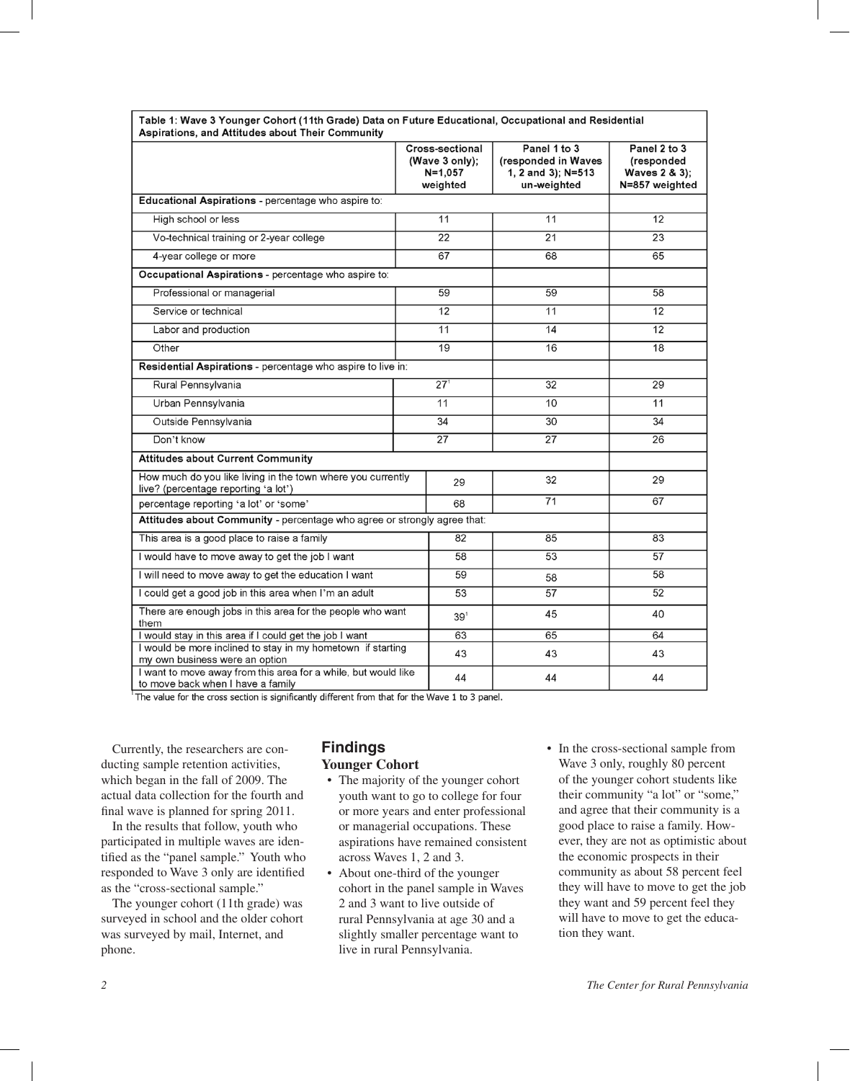|                                                                                                     |                 | Cross-sectional<br>(Wave 3 only);<br>$N = 1,057$<br>weighted | Panel 1 to 3<br>(responded in Waves<br>1, 2 and 3); N=513<br>un-weighted | Panel 2 to 3<br>(responded<br>Waves 2 & 3);<br>N=857 weighted |
|-----------------------------------------------------------------------------------------------------|-----------------|--------------------------------------------------------------|--------------------------------------------------------------------------|---------------------------------------------------------------|
| Educational Aspirations - percentage who aspire to:                                                 |                 |                                                              |                                                                          |                                                               |
| High school or less                                                                                 |                 | $\overline{11}$                                              | $\overline{11}$                                                          | $\overline{12}$                                               |
| Vo-technical training or 2-year college                                                             |                 | 22                                                           | 21                                                                       | 23                                                            |
| 4-year college or more                                                                              | 67              |                                                              | 68                                                                       | 65                                                            |
| Occupational Aspirations - percentage who aspire to:                                                |                 |                                                              |                                                                          |                                                               |
| Professional or managerial                                                                          |                 | 59                                                           | 59                                                                       | 58                                                            |
| Service or technical                                                                                |                 | 12                                                           | 11                                                                       | 12                                                            |
| Labor and production                                                                                |                 | 11                                                           | 14                                                                       | 12                                                            |
| Other                                                                                               |                 | 19                                                           | 16                                                                       | 18                                                            |
| Residential Aspirations - percentage who aspire to live in:                                         |                 |                                                              |                                                                          |                                                               |
| Rural Pennsylvania                                                                                  | 27 <sup>1</sup> |                                                              | 32                                                                       | 29                                                            |
| Urban Pennsylvania                                                                                  | 11              |                                                              | 10                                                                       | 11                                                            |
| Outside Pennsylvania                                                                                | 34              |                                                              | 30                                                                       | 34                                                            |
| Don't know                                                                                          | $\overline{27}$ |                                                              | $\overline{27}$                                                          | $\overline{26}$                                               |
| <b>Attitudes about Current Community</b>                                                            |                 |                                                              |                                                                          |                                                               |
| How much do you like living in the town where you currently<br>live? (percentage reporting 'a lot') |                 | 29                                                           | 32                                                                       | 29                                                            |
| percentage reporting 'a lot' or 'some'                                                              |                 | 68                                                           | 71                                                                       | 67                                                            |
| Attitudes about Community - percentage who agree or strongly agree that:                            |                 |                                                              |                                                                          |                                                               |
| This area is a good place to raise a family                                                         |                 | 82                                                           | 85                                                                       | 83                                                            |
| I would have to move away to get the job I want                                                     |                 | 58                                                           | 53                                                                       | $\overline{57}$                                               |
| I will need to move away to get the education I want                                                |                 | 59                                                           | 58                                                                       | 58                                                            |
| I could get a good job in this area when I'm an adult                                               |                 | 53                                                           | 57                                                                       | 52                                                            |
| There are enough jobs in this area for the people who want<br>them                                  |                 | $39^1$                                                       | 45                                                                       | 40                                                            |
| I would stay in this area if I could get the job I want                                             |                 | 63                                                           | 65                                                                       | 64                                                            |
| I would be more inclined to stay in my hometown if starting<br>my own business were an option       |                 | 43                                                           | 43                                                                       | 43                                                            |
| I want to move away from this area for a while, but would like<br>to move back when I have a family |                 | 44                                                           | 44                                                                       | 44                                                            |

Table 1: Wave 3 Younger Cobort (11th Grade) Data on Euture Educational, Occupational and Residential

The value for the cross section is significantly different from that for the Wave 1 to 3 panel.

Currently, the researchers are conducting sample retention activities, which began in the fall of 2009. The actual data collection for the fourth and final wave is planned for spring 2011.

In the results that follow, youth who participated in multiple waves are identified as the "panel sample." Youth who responded to Wave 3 only are identified as the "cross-sectional sample."

The younger cohort (11th grade) was surveyed in school and the older cohort was surveyed by mail, Internet, and phone.

# **Findings**

#### **Younger Cohort**

- The majority of the younger cohort youth want to go to college for four or more years and enter professional or managerial occupations. These aspirations have remained consistent across Waves 1, 2 and 3.
- About one-third of the younger cohort in the panel sample in Waves 2 and 3 want to live outside of rural Pennsylvania at age 30 and a slightly smaller percentage want to live in rural Pennsylvania.
- In the cross-sectional sample from Wave 3 only, roughly 80 percent of the younger cohort students like their community "a lot" or "some," and agree that their community is a good place to raise a family. However, they are not as optimistic about the economic prospects in their community as about 58 percent feel they will have to move to get the job they want and 59 percent feel they will have to move to get the education they want.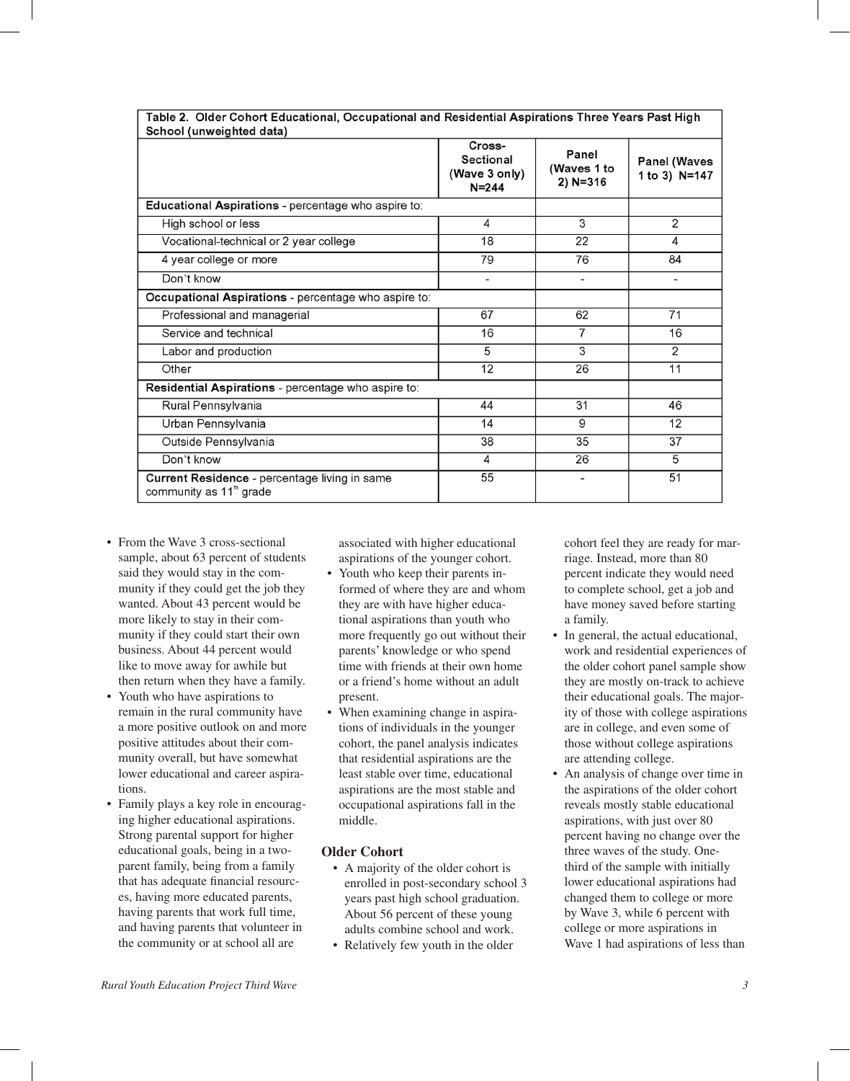| School (unweighted data)                                                             |                                                   |                                      |                               |  |  |  |
|--------------------------------------------------------------------------------------|---------------------------------------------------|--------------------------------------|-------------------------------|--|--|--|
|                                                                                      | Cross-<br>Sectional<br>(Wave 3 only)<br>$N = 244$ | Panel<br>(Waves 1 to<br>$2) N = 316$ | Panel (Waves<br>1 to 3) N=147 |  |  |  |
| Educational Aspirations - percentage who aspire to:                                  |                                                   |                                      |                               |  |  |  |
| High school or less                                                                  | 4                                                 | 3                                    | 2                             |  |  |  |
| Vocational-technical or 2 year college                                               | 18                                                | 22                                   | 4                             |  |  |  |
| 4 year college or more                                                               | 79                                                | 76                                   | 84                            |  |  |  |
| Don't know                                                                           | $\overline{\phantom{a}}$                          |                                      | -                             |  |  |  |
| Occupational Aspirations - percentage who aspire to:                                 |                                                   |                                      |                               |  |  |  |
| Professional and managerial                                                          | 67                                                | 62                                   | 71                            |  |  |  |
| Service and technical                                                                | 16                                                | 7                                    | 16                            |  |  |  |
| Labor and production                                                                 | 5                                                 | 3                                    | $\overline{2}$                |  |  |  |
| Other                                                                                | 12                                                | 26                                   | 11                            |  |  |  |
| Residential Aspirations - percentage who aspire to:                                  |                                                   |                                      |                               |  |  |  |
| Rural Pennsylvania                                                                   | 44                                                | 31                                   | 46                            |  |  |  |
| Urban Pennsylvania                                                                   | 14                                                | 9                                    | 12                            |  |  |  |
| Outside Pennsylvania                                                                 | 38                                                | 35                                   | 37                            |  |  |  |
| Don't know                                                                           | 4                                                 | 26                                   | 5                             |  |  |  |
| Current Residence - percentage living in same<br>community as 11 <sup>th</sup> grade | 55                                                |                                      | 51                            |  |  |  |

Table 2. Older Cohort Educational, Occupational and Residential Aspirations Three Years Past High

- From the Wave 3 cross-sectional sample, about 63 percent of students said they would stay in the community if they could get the job they wanted. About 43 percent would be more likely to stay in their community if they could start their own business. About 44 percent would like to move away for awhile but then return when they have a family.
- Youth who have aspirations to remain in the rural community have a more positive outlook on and more positive attitudes about their community overall, but have somewhat lower educational and career aspirations.
- Family plays a key role in encouraging higher educational aspirations. Strong parental support for higher educational goals, being in a twoparent family, being from a family that has adequate financial resources, having more educated parents, having parents that work full time, and having parents that volunteer in the community or at school all are

associated with higher educational aspirations of the younger cohort.

- Youth who keep their parents informed of where they are and whom they are with have higher educational aspirations than youth who more frequently go out without their parents' knowledge or who spend time with friends at their own home or a friend's home without an adult present.
- When examining change in aspirations of individuals in the younger cohort, the panel analysis indicates that residential aspirations are the least stable over time, educational aspirations are the most stable and occupational aspirations fall in the middle.

#### **Older Cohort**

- A majority of the older cohort is enrolled in post-secondary school 3 years past high school graduation. About 56 percent of these young adults combine school and work.
- Relatively few youth in the older

cohort feel they are ready for marriage. Instead, more than 80 percent indicate they would need to complete school, get a job and have money saved before starting a family.

- In general, the actual educational, work and residential experiences of the older cohort panel sample show they are mostly on-track to achieve their educational goals. The majority of those with college aspirations are in college, and even some of those without college aspirations are attending college.
- An analysis of change over time in the aspirations of the older cohort reveals mostly stable educational aspirations, with just over 80 percent having no change over the three waves of the study. Onethird of the sample with initially lower educational aspirations had changed them to college or more by Wave 3, while 6 percent with college or more aspirations in Wave 1 had aspirations of less than